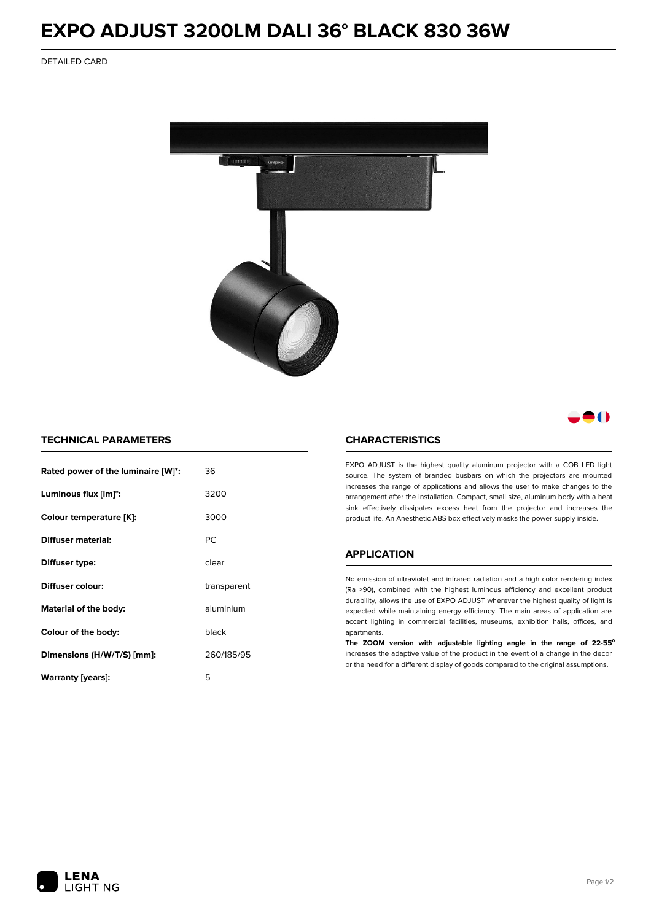## **EXPO ADJUST 3200LM DALI 36° BLACK 830 36W**

DETAILED CARD



### 80

### **TECHNICAL PARAMETERS**

| Rated power of the luminaire [W]*: | 36          |
|------------------------------------|-------------|
| Luminous flux [lm]*:               | 3200        |
| Colour temperature [K]:            | 3000        |
| Diffuser material:                 | РC          |
| Diffuser type:                     | clear       |
| Diffuser colour:                   | transparent |
| aluminium<br>Material of the body: |             |
| black<br>Colour of the body:       |             |
| Dimensions (H/W/T/S) [mm]:         | 260/185/95  |
| Warranty [years]:                  | 5           |

#### **CHARACTERISTICS**

EXPO ADJUST is the highest quality aluminum projector with a COB LED light source. The system of branded busbars on which the projectors are mounted increases the range of applications and allows the user to make changes to the arrangement after the installation. Compact, small size, aluminum body with a heat sink effectively dissipates excess heat from the projector and increases the product life. An Anesthetic ABS box effectively masks the power supply inside.

#### **APPLICATION**

No emission of ultraviolet and infrared radiation and a high color rendering index (Ra >90), combined with the highest luminous efficiency and excellent product durability, allows the use of EXPO ADJUST wherever the highest quality of light is expected while maintaining energy efficiency. The main areas of application are accent lighting in commercial facilities, museums, exhibition halls, offices, and apartments.

**The ZOOM version with adjustable lighting angle in the range of 22-55⁰** increases the adaptive value of the product in the event of a change in the decor or the need for a different display of goods compared to the original assumptions.